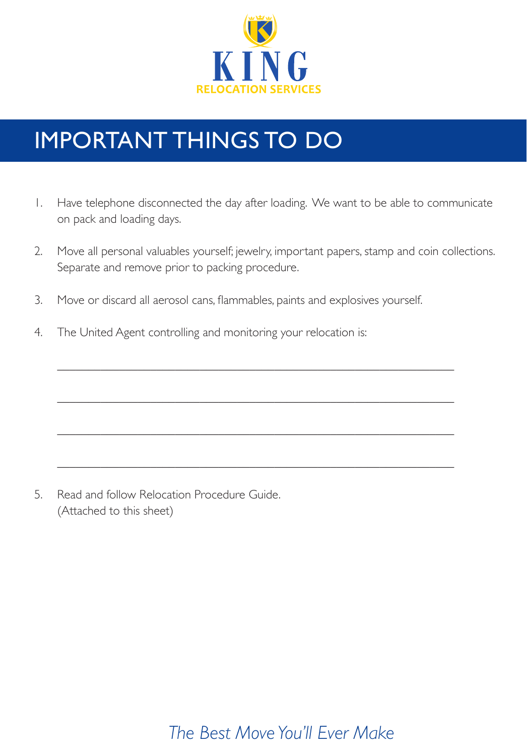

# IMPORTANT THINGS TO DO

- 1. Have telephone disconnected the day after loading. We want to be able to communicate on pack and loading days.
- 2. Move all personal valuables yourself; jewelry, important papers, stamp and coin collections. Separate and remove prior to packing procedure.

\_\_\_\_\_\_\_\_\_\_\_\_\_\_\_\_\_\_\_\_\_\_\_\_\_\_\_\_\_\_\_\_\_\_\_\_\_\_\_\_\_\_\_\_\_\_\_\_\_\_\_\_\_\_\_\_\_\_\_\_\_\_\_\_

\_\_\_\_\_\_\_\_\_\_\_\_\_\_\_\_\_\_\_\_\_\_\_\_\_\_\_\_\_\_\_\_\_\_\_\_\_\_\_\_\_\_\_\_\_\_\_\_\_\_\_\_\_\_\_\_\_\_\_\_\_\_\_\_

\_\_\_\_\_\_\_\_\_\_\_\_\_\_\_\_\_\_\_\_\_\_\_\_\_\_\_\_\_\_\_\_\_\_\_\_\_\_\_\_\_\_\_\_\_\_\_\_\_\_\_\_\_\_\_\_\_\_\_\_\_\_\_\_

\_\_\_\_\_\_\_\_\_\_\_\_\_\_\_\_\_\_\_\_\_\_\_\_\_\_\_\_\_\_\_\_\_\_\_\_\_\_\_\_\_\_\_\_\_\_\_\_\_\_\_\_\_\_\_\_\_\_\_\_\_\_\_\_

- 3. Move or discard all aerosol cans, flammables, paints and explosives yourself.
- 4. The United Agent controlling and monitoring your relocation is:

5. Read and follow Relocation Procedure Guide. (Attached to this sheet)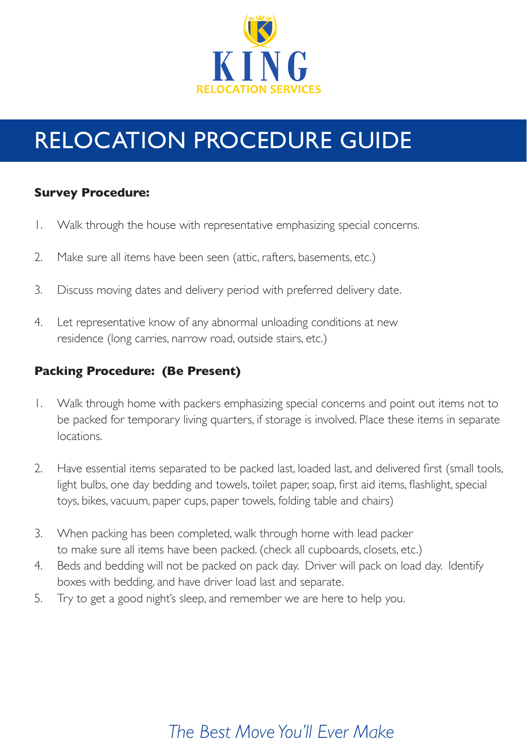

# RELOCATION PROCEDURE GUIDE

#### **Survey Procedure:**

- 1. Walk through the house with representative emphasizing special concerns.
- 2. Make sure all items have been seen (attic, rafters, basements, etc.)
- 3. Discuss moving dates and delivery period with preferred delivery date.
- 4. Let representative know of any abnormal unloading conditions at new residence (long carries, narrow road, outside stairs, etc.)

#### **Packing Procedure: (Be Present)**

- 1. Walk through home with packers emphasizing special concerns and point out items not to be packed for temporary living quarters, if storage is involved. Place these items in separate locations.
- 2. Have essential items separated to be packed last, loaded last, and delivered first (small tools, light bulbs, one day bedding and towels, toilet paper, soap, first aid items, flashlight, special toys, bikes, vacuum, paper cups, paper towels, folding table and chairs)
- 3. When packing has been completed, walk through home with lead packer to make sure all items have been packed. (check all cupboards, closets, etc.)
- 4. Beds and bedding will not be packed on pack day. Driver will pack on load day. Identify boxes with bedding, and have driver load last and separate.
- 5. Try to get a good night's sleep, and remember we are here to help you.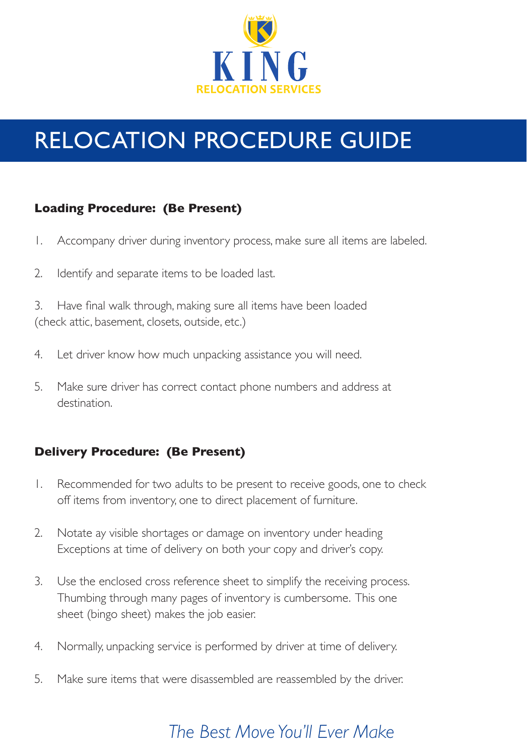

# RELOCATION PROCEDURE GUIDE

### **Loading Procedure: (Be Present)**

- 1. Accompany driver during inventory process, make sure all items are labeled.
- 2. Identify and separate items to be loaded last.

3. Have final walk through, making sure all items have been loaded (check attic, basement, closets, outside, etc.)

- 4. Let driver know how much unpacking assistance you will need.
- 5. Make sure driver has correct contact phone numbers and address at destination.

### **Delivery Procedure: (Be Present)**

- 1. Recommended for two adults to be present to receive goods, one to check off items from inventory, one to direct placement of furniture.
- 2. Notate ay visible shortages or damage on inventory under heading Exceptions at time of delivery on both your copy and driver's copy.
- 3. Use the enclosed cross reference sheet to simplify the receiving process. Thumbing through many pages of inventory is cumbersome. This one sheet (bingo sheet) makes the job easier.
- 4. Normally, unpacking service is performed by driver at time of delivery.
- 5. Make sure items that were disassembled are reassembled by the driver.